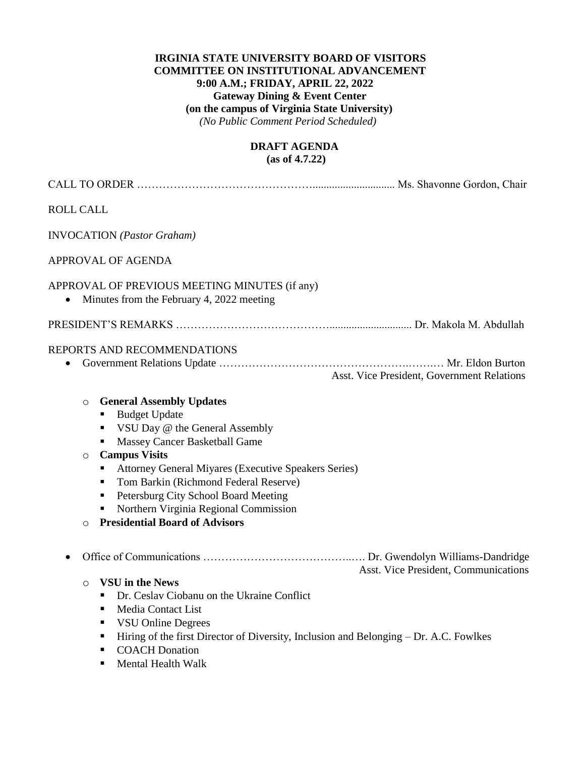#### **IRGINIA STATE UNIVERSITY BOARD OF VISITORS COMMITTEE ON INSTITUTIONAL ADVANCEMENT 9:00 A.M.; FRIDAY, APRIL 22, 2022 Gateway Dining & Event Center (on the campus of Virginia State University)**  *(No Public Comment Period Scheduled)*

#### **DRAFT AGENDA (as of 4.7.22)**

| <b>ROLL CALL</b>                         |                                                                                                                                                                                                                                                                                                                                                                                                                                                                                                                                                                                                                                                                                                    |                                            |
|------------------------------------------|----------------------------------------------------------------------------------------------------------------------------------------------------------------------------------------------------------------------------------------------------------------------------------------------------------------------------------------------------------------------------------------------------------------------------------------------------------------------------------------------------------------------------------------------------------------------------------------------------------------------------------------------------------------------------------------------------|--------------------------------------------|
|                                          | <b>INVOCATION</b> (Pastor Graham)                                                                                                                                                                                                                                                                                                                                                                                                                                                                                                                                                                                                                                                                  |                                            |
|                                          | <b>APPROVAL OF AGENDA</b>                                                                                                                                                                                                                                                                                                                                                                                                                                                                                                                                                                                                                                                                          |                                            |
|                                          | APPROVAL OF PREVIOUS MEETING MINUTES (if any)<br>Minutes from the February 4, 2022 meeting                                                                                                                                                                                                                                                                                                                                                                                                                                                                                                                                                                                                         |                                            |
|                                          |                                                                                                                                                                                                                                                                                                                                                                                                                                                                                                                                                                                                                                                                                                    |                                            |
|                                          | REPORTS AND RECOMMENDATIONS                                                                                                                                                                                                                                                                                                                                                                                                                                                                                                                                                                                                                                                                        | Asst. Vice President, Government Relations |
| $\circ$<br>$\circ$<br>$\circ$<br>$\circ$ | <b>General Assembly Updates</b><br><b>Budget Update</b><br>٠<br>VSU Day @ the General Assembly<br>٠<br>Massey Cancer Basketball Game<br><b>Campus Visits</b><br>Attorney General Miyares (Executive Speakers Series)<br>٠<br>Tom Barkin (Richmond Federal Reserve)<br>٠<br>Petersburg City School Board Meeting<br>п<br>Northern Virginia Regional Commission<br>٠<br><b>Presidential Board of Advisors</b><br>VSU in the News<br>• Dr. Ceslav Ciobanu on the Ukraine Conflict<br>Media Contact List<br>٠<br><b>VSU Online Degrees</b><br>п<br>Hiring of the first Director of Diversity, Inclusion and Belonging - Dr. A.C. Fowlkes<br>ш<br><b>COACH</b> Donation<br>٠<br>Mental Health Walk<br>ш | Asst. Vice President, Communications       |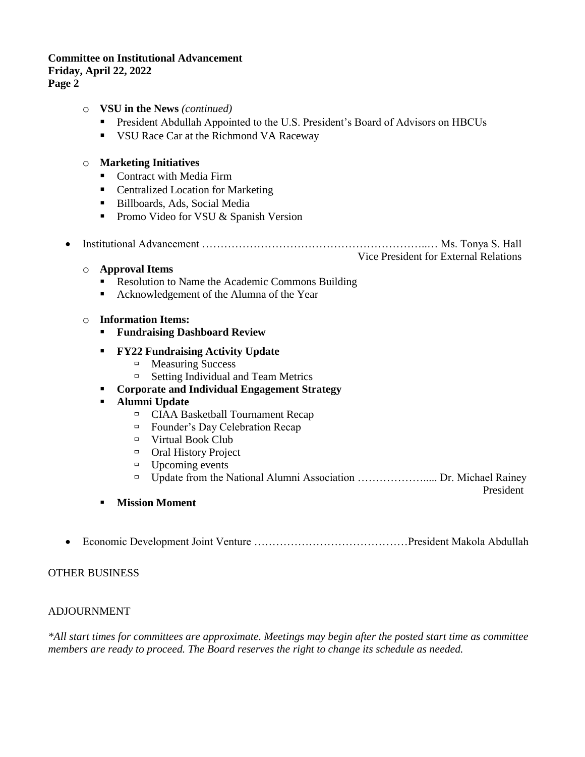### **Committee on Institutional Advancement Friday, April 22, 2022 Page 2**

- o **VSU in the News** *(continued)*
	- **•** President Abdullah Appointed to the U.S. President's Board of Advisors on HBCUs
	- VSU Race Car at the Richmond VA Raceway

### o **Marketing Initiatives**

- Contract with Media Firm
- Centralized Location for Marketing
- Billboards, Ads, Social Media
- Promo Video for VSU & Spanish Version
- Institutional Advancement ……………………………………………………..… Ms. Tonya S. Hall Vice President for External Relations

#### o **Approval Items**

- Resolution to Name the Academic Commons Building
- Acknowledgement of the Alumna of the Year

### o **Information Items:**

- **Fundraising Dashboard Review**
- **FY22 Fundraising Activity Update** 
	- $\Box$  Measuring Success
	- $\Box$  Setting Individual and Team Metrics
- **Corporate and Individual Engagement Strategy**
- **Alumni Update** 
	- CIAA Basketball Tournament Recap
	- $\Box$  Founder's Day Celebration Recap
	- $\Box$  Virtual Book Club
	- Oral History Project
	- $\Box$  Upcoming events
	- □ Update from the National Alumni Association ………………………… Dr. Michael Rainey

President

- **Mission Moment**
- Economic Development Joint Venture ……………………………………President Makola Abdullah

### OTHER BUSINESS

### ADJOURNMENT

*\*All start times for committees are approximate. Meetings may begin after the posted start time as committee members are ready to proceed. The Board reserves the right to change its schedule as needed.*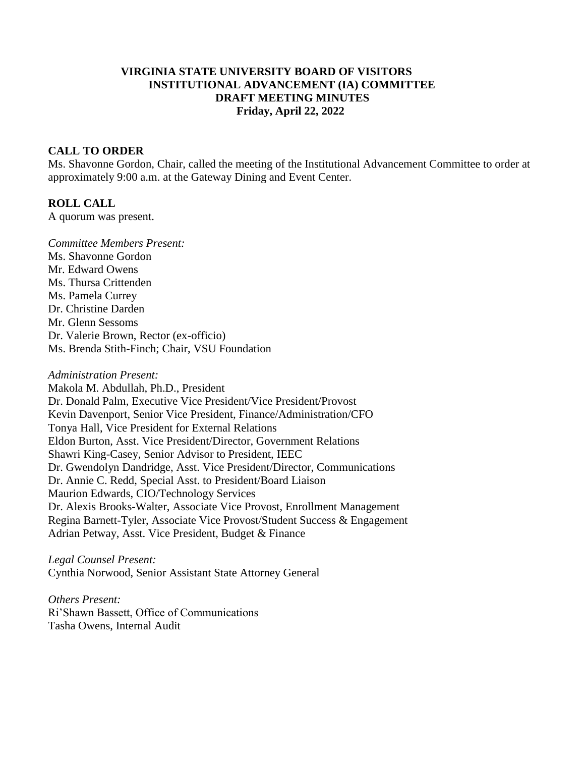## **VIRGINIA STATE UNIVERSITY BOARD OF VISITORS INSTITUTIONAL ADVANCEMENT (IA) COMMITTEE DRAFT MEETING MINUTES Friday, April 22, 2022**

### **CALL TO ORDER**

Ms. Shavonne Gordon, Chair, called the meeting of the Institutional Advancement Committee to order at approximately 9:00 a.m. at the Gateway Dining and Event Center.

#### **ROLL CALL**

A quorum was present.

*Committee Members Present:*  Ms. Shavonne Gordon Mr. Edward Owens Ms. Thursa Crittenden Ms. Pamela Currey Dr. Christine Darden Mr. Glenn Sessoms Dr. Valerie Brown, Rector (ex-officio) Ms. Brenda Stith-Finch; Chair, VSU Foundation

*Administration Present:* Makola M. Abdullah, Ph.D., President Dr. Donald Palm, Executive Vice President/Vice President/Provost Kevin Davenport, Senior Vice President, Finance/Administration/CFO Tonya Hall, Vice President for External Relations Eldon Burton, Asst. Vice President/Director, Government Relations Shawri King-Casey, Senior Advisor to President, IEEC Dr. Gwendolyn Dandridge, Asst. Vice President/Director, Communications Dr. Annie C. Redd, Special Asst. to President/Board Liaison Maurion Edwards, CIO/Technology Services Dr. Alexis Brooks-Walter, Associate Vice Provost, Enrollment Management Regina Barnett-Tyler, Associate Vice Provost/Student Success & Engagement Adrian Petway, Asst. Vice President, Budget & Finance

*Legal Counsel Present:* Cynthia Norwood, Senior Assistant State Attorney General

*Others Present:* Ri'Shawn Bassett, Office of Communications Tasha Owens, Internal Audit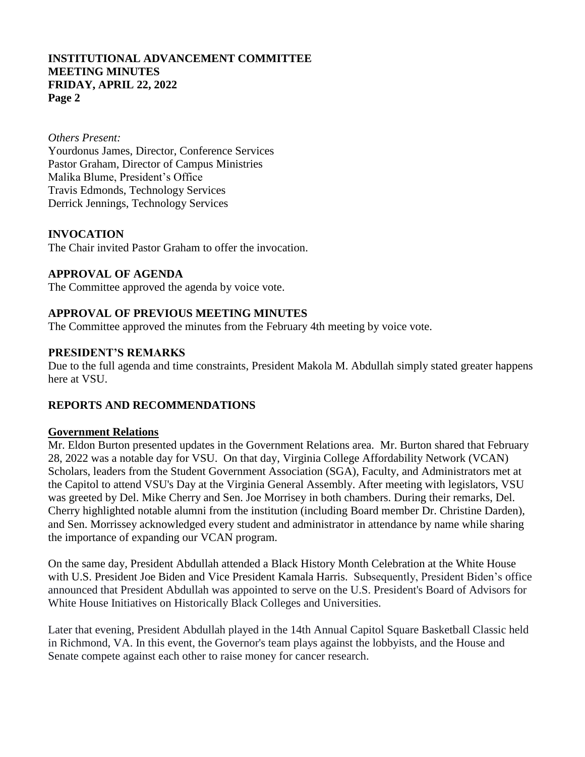### *Others Present:*

Yourdonus James, Director, Conference Services Pastor Graham, Director of Campus Ministries Malika Blume, President's Office Travis Edmonds, Technology Services Derrick Jennings, Technology Services

# **INVOCATION**

The Chair invited Pastor Graham to offer the invocation.

## **APPROVAL OF AGENDA**

The Committee approved the agenda by voice vote.

# **APPROVAL OF PREVIOUS MEETING MINUTES**

The Committee approved the minutes from the February 4th meeting by voice vote.

### **PRESIDENT'S REMARKS**

Due to the full agenda and time constraints, President Makola M. Abdullah simply stated greater happens here at VSU.

# **REPORTS AND RECOMMENDATIONS**

### **Government Relations**

Mr. Eldon Burton presented updates in the Government Relations area. Mr. Burton shared that February 28, 2022 was a notable day for VSU. On that day, Virginia College Affordability Network (VCAN) Scholars, leaders from the Student Government Association (SGA), Faculty, and Administrators met at the Capitol to attend VSU's Day at the Virginia General Assembly. After meeting with legislators, VSU was greeted by Del. Mike Cherry and Sen. Joe Morrisey in both chambers. During their remarks, Del. Cherry highlighted notable alumni from the institution (including Board member Dr. Christine Darden), and Sen. Morrissey acknowledged every student and administrator in attendance by name while sharing the importance of expanding our VCAN program.

On the same day, President Abdullah attended a Black History Month Celebration at the White House with U.S. President Joe Biden and Vice President Kamala Harris. Subsequently, President Biden's office announced that President Abdullah was appointed to serve on the U.S. President's Board of Advisors for White House Initiatives on Historically Black Colleges and Universities.

Later that evening, President Abdullah played in the 14th Annual Capitol Square Basketball Classic held in Richmond, VA. In this event, the Governor's team plays against the lobbyists, and the House and Senate compete against each other to raise money for cancer research.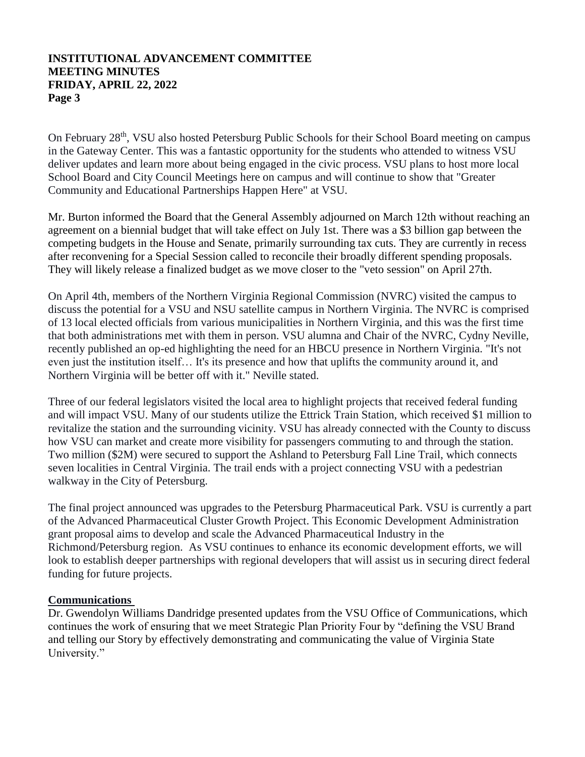On February 28<sup>th</sup>, VSU also hosted Petersburg Public Schools for their School Board meeting on campus in the Gateway Center. This was a fantastic opportunity for the students who attended to witness VSU deliver updates and learn more about being engaged in the civic process. VSU plans to host more local School Board and City Council Meetings here on campus and will continue to show that "Greater Community and Educational Partnerships Happen Here" at VSU.

Mr. Burton informed the Board that the General Assembly adjourned on March 12th without reaching an agreement on a biennial budget that will take effect on July 1st. There was a \$3 billion gap between the competing budgets in the House and Senate, primarily surrounding tax cuts. They are currently in recess after reconvening for a Special Session called to reconcile their broadly different spending proposals. They will likely release a finalized budget as we move closer to the "veto session" on April 27th.

On April 4th, members of the Northern Virginia Regional Commission (NVRC) visited the campus to discuss the potential for a VSU and NSU satellite campus in Northern Virginia. The NVRC is comprised of 13 local elected officials from various municipalities in Northern Virginia, and this was the first time that both administrations met with them in person. VSU alumna and Chair of the NVRC, Cydny Neville, recently published an op-ed highlighting the need for an HBCU presence in Northern Virginia. "It's not even just the institution itself… It's its presence and how that uplifts the community around it, and Northern Virginia will be better off with it." Neville stated.

Three of our federal legislators visited the local area to highlight projects that received federal funding and will impact VSU. Many of our students utilize the Ettrick Train Station, which received \$1 million to revitalize the station and the surrounding vicinity. VSU has already connected with the County to discuss how VSU can market and create more visibility for passengers commuting to and through the station. Two million (\$2M) were secured to support the Ashland to Petersburg Fall Line Trail, which connects seven localities in Central Virginia. The trail ends with a project connecting VSU with a pedestrian walkway in the City of Petersburg.

The final project announced was upgrades to the Petersburg Pharmaceutical Park. VSU is currently a part of the Advanced Pharmaceutical Cluster Growth Project. This Economic Development Administration grant proposal aims to develop and scale the Advanced Pharmaceutical Industry in the Richmond/Petersburg region. As VSU continues to enhance its economic development efforts, we will look to establish deeper partnerships with regional developers that will assist us in securing direct federal funding for future projects.

### **Communications**

Dr. Gwendolyn Williams Dandridge presented updates from the VSU Office of Communications, which continues the work of ensuring that we meet Strategic Plan Priority Four by "defining the VSU Brand and telling our Story by effectively demonstrating and communicating the value of Virginia State University."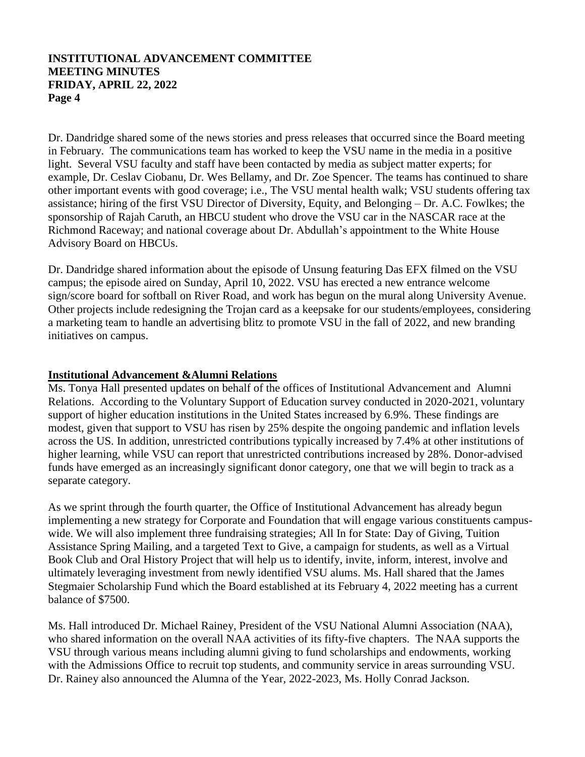Dr. Dandridge shared some of the news stories and press releases that occurred since the Board meeting in February. The communications team has worked to keep the VSU name in the media in a positive light. Several VSU faculty and staff have been contacted by media as subject matter experts; for example, Dr. Ceslav Ciobanu, Dr. Wes Bellamy, and Dr. Zoe Spencer. The teams has continued to share other important events with good coverage; i.e., The VSU mental health walk; VSU students offering tax assistance; hiring of the first VSU Director of Diversity, Equity, and Belonging – Dr. A.C. Fowlkes; the sponsorship of Rajah Caruth, an HBCU student who drove the VSU car in the NASCAR race at the Richmond Raceway; and national coverage about Dr. Abdullah's appointment to the White House Advisory Board on HBCUs.

Dr. Dandridge shared information about the episode of Unsung featuring Das EFX filmed on the VSU campus; the episode aired on Sunday, April 10, 2022. VSU has erected a new entrance welcome sign/score board for softball on River Road, and work has begun on the mural along University Avenue. Other projects include redesigning the Trojan card as a keepsake for our students/employees, considering a marketing team to handle an advertising blitz to promote VSU in the fall of 2022, and new branding initiatives on campus.

# **Institutional Advancement &Alumni Relations**

Ms. Tonya Hall presented updates on behalf of the offices of Institutional Advancement and Alumni Relations. According to the Voluntary Support of Education survey conducted in 2020-2021, voluntary support of higher education institutions in the United States increased by 6.9%. These findings are modest, given that support to VSU has risen by 25% despite the ongoing pandemic and inflation levels across the US. In addition, unrestricted contributions typically increased by 7.4% at other institutions of higher learning, while VSU can report that unrestricted contributions increased by 28%. Donor-advised funds have emerged as an increasingly significant donor category, one that we will begin to track as a separate category.

As we sprint through the fourth quarter, the Office of Institutional Advancement has already begun implementing a new strategy for Corporate and Foundation that will engage various constituents campuswide. We will also implement three fundraising strategies; All In for State: Day of Giving, Tuition Assistance Spring Mailing, and a targeted Text to Give, a campaign for students, as well as a Virtual Book Club and Oral History Project that will help us to identify, invite, inform, interest, involve and ultimately leveraging investment from newly identified VSU alums. Ms. Hall shared that the James Stegmaier Scholarship Fund which the Board established at its February 4, 2022 meeting has a current balance of \$7500.

Ms. Hall introduced Dr. Michael Rainey, President of the VSU National Alumni Association (NAA), who shared information on the overall NAA activities of its fifty-five chapters. The NAA supports the VSU through various means including alumni giving to fund scholarships and endowments, working with the Admissions Office to recruit top students, and community service in areas surrounding VSU. Dr. Rainey also announced the Alumna of the Year, 2022-2023, Ms. Holly Conrad Jackson.